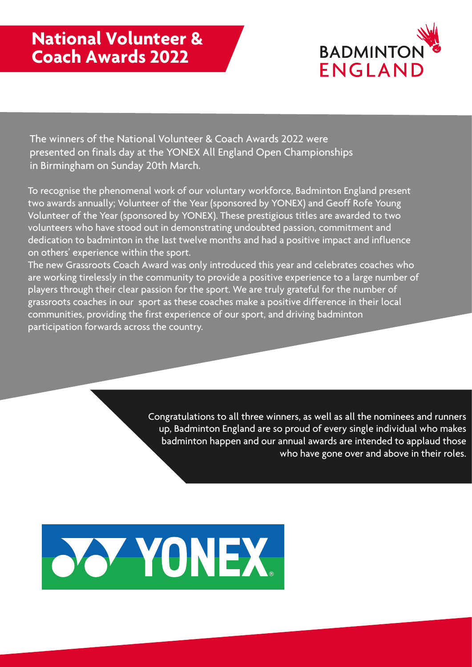

The winners of the National Volunteer & Coach Awards 2022 were presented on finals day at the YONEX All England Open Championships in Birmingham on Sunday 20th March.

To recognise the phenomenal work of our voluntary workforce, Badminton England present two awards annually; Volunteer of the Year (sponsored by YONEX) and Geoff Rofe Young Volunteer of the Year (sponsored by YONEX). These prestigious titles are awarded to two volunteers who have stood out in demonstrating undoubted passion, commitment and dedication to badminton in the last twelve months and had a positive impact and influence on others' experience within the sport.

The new Grassroots Coach Award was only introduced this year and celebrates coaches who are working tirelessly in the community to provide a positive experience to a large number of players through their clear passion for the sport. We are truly grateful for the number of grassroots coaches in our sport as these coaches make a positive difference in their local communities, providing the first experience of our sport, and driving badminton participation forwards across the country.

> Congratulations to all three winners, as well as all the nominees and runners up, Badminton England are so proud of every single individual who makes badminton happen and our annual awards are intended to applaud those who have gone over and above in their roles.

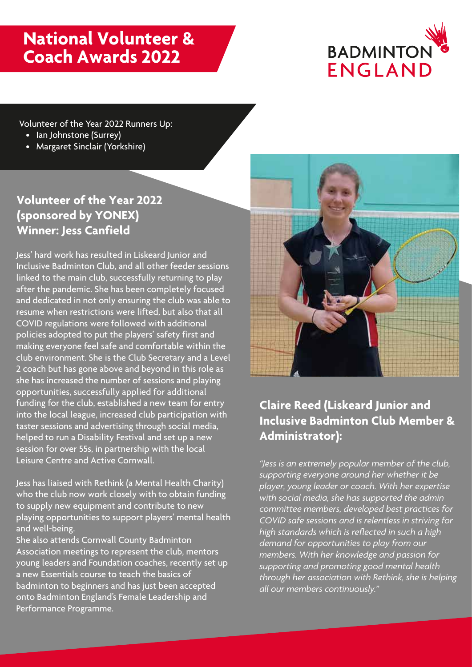# **National Volunteer & Coach Awards 2022**



Volunteer of the Year 2022 Runners Up:

- Ian Johnstone (Surrey)
- Margaret Sinclair (Yorkshire)

## **Volunteer of the Year 2022 (sponsored by YONEX) Winner: Jess Canfield**

Jess' hard work has resulted in Liskeard Junior and Inclusive Badminton Club, and all other feeder sessions linked to the main club, successfully returning to play after the pandemic. She has been completely focused and dedicated in not only ensuring the club was able to resume when restrictions were lifted, but also that all COVID regulations were followed with additional policies adopted to put the players' safety first and making everyone feel safe and comfortable within the club environment. She is the Club Secretary and a Level 2 coach but has gone above and beyond in this role as she has increased the number of sessions and playing opportunities, successfully applied for additional funding for the club, established a new team for entry into the local league, increased club participation with taster sessions and advertising through social media, helped to run a Disability Festival and set up a new session for over 55s, in partnership with the local Leisure Centre and Active Cornwall.

Jess has liaised with Rethink (a Mental Health Charity) who the club now work closely with to obtain funding to supply new equipment and contribute to new playing opportunities to support players' mental health and well-being.

She also attends Cornwall County Badminton Association meetings to represent the club, mentors young leaders and Foundation coaches, recently set up a new Essentials course to teach the basics of badminton to beginners and has just been accepted onto Badminton England's Female Leadership and Performance Programme.



## **Claire Reed (Liskeard Junior and Inclusive Badminton Club Member & Administrator):**

*"Jess is an extremely popular member of the club, supporting everyone around her whether it be player, young leader or coach. With her expertise with social media, she has supported the admin committee members, developed best practices for COVID safe sessions and is relentless in striving for high standards which is reflected in such a high demand for opportunities to play from our members. With her knowledge and passion for supporting and promoting good mental health through her association with Rethink, she is helping all our members continuously."*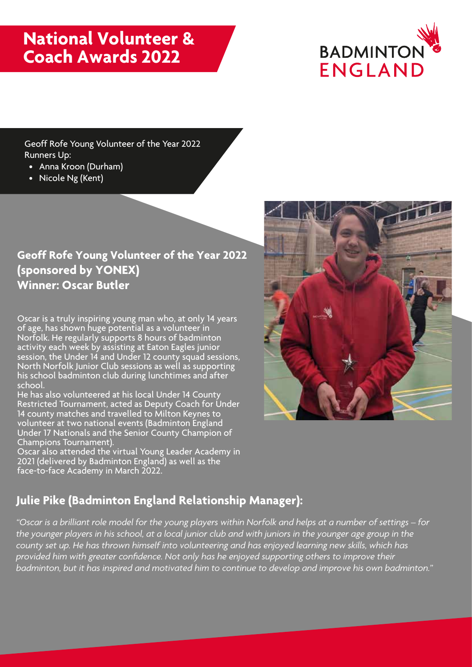# **National Volunteer & Coach Awards 2022**



Geoff Rofe Young Volunteer of the Year 2022 Runners Up:

- Anna Kroon (Durham)
- Nicole Ng (Kent)

#### **Geoff Rofe Young Volunteer of the Year 2022 (sponsored by YONEX) Winner: Oscar Butler**

Oscar is a truly inspiring young man who, at only 14 years of age, has shown huge potential as a volunteer in Norfolk. He regularly supports 8 hours of badminton activity each week by assisting at Eaton Eagles junior session, the Under 14 and Under 12 county squad sessions, North Norfolk Junior Club sessions as well as supporting his school badminton club during lunchtimes and after school.

He has also volunteered at his local Under 14 County Restricted Tournament, acted as Deputy Coach for Under 14 county matches and travelled to Milton Keynes to volunteer at two national events (Badminton England Under 17 Nationals and the Senior County Champion of Champions Tournament).

Oscar also attended the virtual Young Leader Academy in 2021 (delivered by Badminton England) as well as the face-to-face Academy in March 2022.

## **Julie Pike (Badminton England Relationship Manager):**

*"Oscar is a brilliant role model for the young players within Norfolk and helps at a number of settings – for the younger players in his school, at a local junior club and with juniors in the younger age group in the county set up. He has thrown himself into volunteering and has enjoyed learning new skills, which has provided him with greater confidence. Not only has he enjoyed supporting others to improve their badminton, but it has inspired and motivated him to continue to develop and improve his own badminton."*